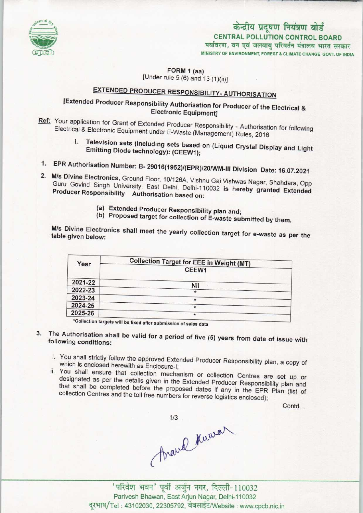

# केन्द्रीय प्रदूषण नियंत्रण बोर्ड

CENTRAL POLLUTION CONTROL BOARD

MINISTRY OF ENVIRONMENT, FOREST S CLIMATE CHANGE GOVT. OF INDIA पर्यावरण, वन एवं जलवायु परिवर्तन मंत्रालय भारत सरकार

FORM 1 (aa) [Under rule 5 (6) and 13 (1)(ii)]

## EXTENDED PRODUCER RESPONSIBILITY- AUTHORISATION

### [Extended Producer Responsibility Authorisation for Producer of the Electrical & Electronic Equipment]

- Ref: Your application for Grant of Extended Producer Responsibility Authorisation for following Electrical & Electronic Equipment under E-Waste (Management) Rules, 2016
	- I. Television sets (including sets based on (Liquid Crystal Display and Light Emitting Diode technology): (CEEW1);
- 1.EPR Authorisation Number: B- 29016(1952)/(EPR)/20/WM-lll Division Date: 16.07.2021
- 2. M/s Divine Electronics, Ground Floor, 10/126A, Vishnu Gai Vishwas Nagar, Shahdara, Opp. Guru Govind Singh University, East Delhi, Delhi-110032 is hereby gaar, Shahdara, Opp Guru Govind Singh University, East Delhi, Delhi-110032 is hereby granted Extended<br>Producer Responsibility Authorisation based on:
	- (a)Extended Producer Responsibility plan and;
	- (b) Proposed target for collection of E-waste submitted by them.

M/s Divine Electronics shall meet the yearly collection target for e-wastern as per the second table given below:

| Year    | <b>Collection Target for EEE in Weight (MT)</b> |
|---------|-------------------------------------------------|
|         | CEEW1                                           |
| 2021-22 |                                                 |
| 2022-23 | Nil<br>$\star$                                  |
| 2023-24 | $\star$                                         |
| 2024-25 | $\star$                                         |
| 2025-26 | *                                               |

- 3. The Authorisation shall be valid for a period of five (5) years from date of issue with following conditions:
	- i. You shall strictly follow the approved Extended Producer Responsibility plan, a copy of which is enclosed herewith as Enclosure-I;
	- ii. You shall ensure that collection mechanism or collection Centres are set up or designated as per the details given in the Extended Producer Responsibility plan and that shall be completed before the proposed dates if any in the EPR Plan (list of collection Centres and the toll free numbers for reverse logistics enclosed);

Contd...

Araval Kuwar

'परिवेश भवन' पूर्वी अर्जुन नगर, दिल्ली-110032 Parivesh Bhawan, East Arjun Nagar, Delhi-110032 दूरभाष/Tel: 43102030, 22305792, वेबसाईट/Website: www.cpcb.nic.in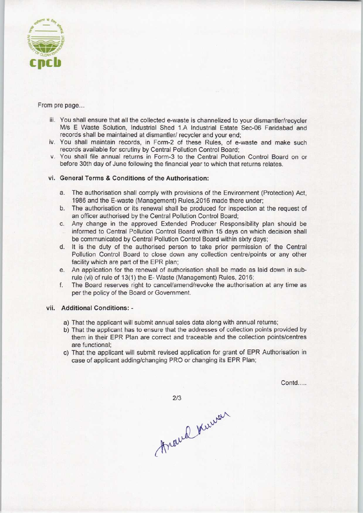

#### From pre page...

- iii. You shall ensure that all the collected e-waste is channelized to your dismantler/recycler M/s E Waste Solution, Industrial Shed 1.A Industrial Estate Sec-06 Faridabad and records shall be maintained at dismantler/ recycler and your end;
- iv. You shall maintain records, in Fonn-2 of these Rules, of e-waste and make such records available for scrutiny by Central Pollution Control Board;
- v. You shall file annual returns in Form-3 to the Central Pollution Control Board on or before 30th day of June following the financial year to which that returns relates.

#### vi. General Terms & Conditions of the Authorisation:

- a.The authorisation shall comply with provisions ofthe Environment (Protection) Act, 1986 and the E-waste (Management) Rules,2016 made there under;
- b.The authorisation or its renewal shall be produced for inspection at the request of an officer authorised by the Central Pollution Control Board;
- c.Any change in the approved Extended Producer Responsibility plan should be informed to Central Pollution Control Board within 15 days on which decision shall be communicated by Central Pollution Control Board within sixty days;
- d. It is the duty of the authorised person to take prior permission of the Central Pollution Control Board to close down any collection centre/points or any other facility which are part of the EPR plan;
- e.An application for the renewal of authorisation shall be made aslaid down in subrule (vi) of rule of 13(1) the E- Waste (Management) Rules, 2016;
- f. The Board reserves right to cancel/amend/revoke the authorisation at any time as per the policy of the Board or Government.

#### vii. Additional Conditions: -

- a) That the applicant will submit annual sales data along with annual returns;
- b) That the applicant has to ensure that the addresses of collection points provided by them in their EPR Plan are correct and traceable and the collection points/centres are functional;
- c) That the applicant will submit revised application for grant of EPR Authorisation in case of applicant adding/changing PRO or changing its EPR Plan;

Contd.....

 $2/3$ Araud Kuwar